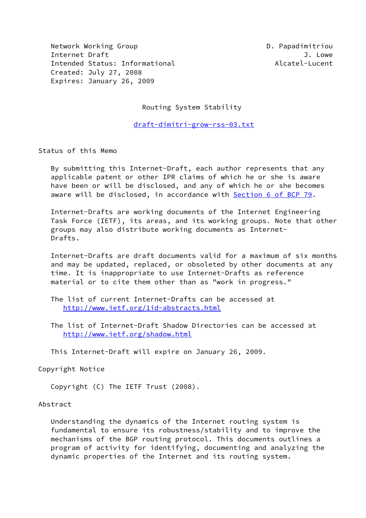Network Working Group D. Papadimitriou Internet Draft J. Lowe Intended Status: Informational and Alcatel-Lucent Created: July 27, 2008 Expires: January 26, 2009

Routing System Stability

[draft-dimitri-grow-rss-03.txt](https://datatracker.ietf.org/doc/pdf/draft-dimitri-grow-rss-03.txt)

Status of this Memo

 By submitting this Internet-Draft, each author represents that any applicable patent or other IPR claims of which he or she is aware have been or will be disclosed, and any of which he or she becomes aware will be disclosed, in accordance with Section [6 of BCP 79.](https://datatracker.ietf.org/doc/pdf/bcp79#section-6)

 Internet-Drafts are working documents of the Internet Engineering Task Force (IETF), its areas, and its working groups. Note that other groups may also distribute working documents as Internet- Drafts.

 Internet-Drafts are draft documents valid for a maximum of six months and may be updated, replaced, or obsoleted by other documents at any time. It is inappropriate to use Internet-Drafts as reference material or to cite them other than as "work in progress."

 The list of current Internet-Drafts can be accessed at <http://www.ietf.org/1id-abstracts.html>

 The list of Internet-Draft Shadow Directories can be accessed at <http://www.ietf.org/shadow.html>

This Internet-Draft will expire on January 26, 2009.

Copyright Notice

Copyright (C) The IETF Trust (2008).

Abstract

 Understanding the dynamics of the Internet routing system is fundamental to ensure its robustness/stability and to improve the mechanisms of the BGP routing protocol. This documents outlines a program of activity for identifying, documenting and analyzing the dynamic properties of the Internet and its routing system.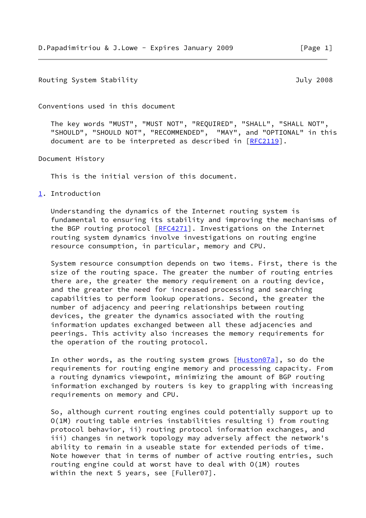## Routing System Stability **Superintensis and Stability** July 2008

Conventions used in this document

 The key words "MUST", "MUST NOT", "REQUIRED", "SHALL", "SHALL NOT", "SHOULD", "SHOULD NOT", "RECOMMENDED", "MAY", and "OPTIONAL" in this document are to be interpreted as described in [\[RFC2119](https://datatracker.ietf.org/doc/pdf/rfc2119)].

Document History

This is the initial version of this document.

<span id="page-1-0"></span>[1](#page-1-0). Introduction

 Understanding the dynamics of the Internet routing system is fundamental to ensuring its stability and improving the mechanisms of the BGP routing protocol [\[RFC4271](https://datatracker.ietf.org/doc/pdf/rfc4271)]. Investigations on the Internet routing system dynamics involve investigations on routing engine resource consumption, in particular, memory and CPU.

 System resource consumption depends on two items. First, there is the size of the routing space. The greater the number of routing entries there are, the greater the memory requirement on a routing device, and the greater the need for increased processing and searching capabilities to perform lookup operations. Second, the greater the number of adjacency and peering relationships between routing devices, the greater the dynamics associated with the routing information updates exchanged between all these adjacencies and peerings. This activity also increases the memory requirements for the operation of the routing protocol.

In other words, as the routing system grows [\[Huston07a](#page-12-0)], so do the requirements for routing engine memory and processing capacity. From a routing dynamics viewpoint, minimizing the amount of BGP routing information exchanged by routers is key to grappling with increasing requirements on memory and CPU.

 So, although current routing engines could potentially support up to O(1M) routing table entries instabilities resulting i) from routing protocol behavior, ii) routing protocol information exchanges, and iii) changes in network topology may adversely affect the network's ability to remain in a useable state for extended periods of time. Note however that in terms of number of active routing entries, such routing engine could at worst have to deal with O(1M) routes within the next 5 years, see [Fuller07].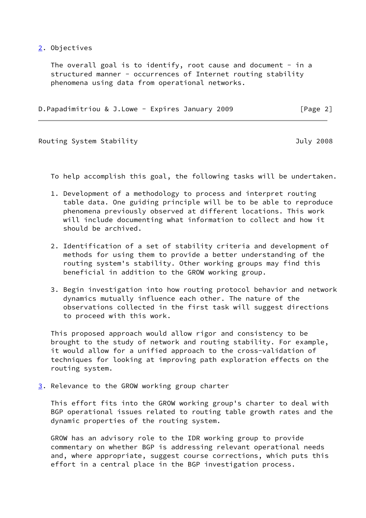<span id="page-2-0"></span>[2](#page-2-0). Objectives

The overall goal is to identify, root cause and document  $-$  in a structured manner - occurrences of Internet routing stability phenomena using data from operational networks.

D.Papadimitriou & J.Lowe - Expires January 2009 [Page 2]

Routing System Stability **Stability** And the System Stability and the System of the System of the System of the S

To help accomplish this goal, the following tasks will be undertaken.

- 1. Development of a methodology to process and interpret routing table data. One guiding principle will be to be able to reproduce phenomena previously observed at different locations. This work will include documenting what information to collect and how it should be archived.
- 2. Identification of a set of stability criteria and development of methods for using them to provide a better understanding of the routing system's stability. Other working groups may find this beneficial in addition to the GROW working group.
- 3. Begin investigation into how routing protocol behavior and network dynamics mutually influence each other. The nature of the observations collected in the first task will suggest directions to proceed with this work.

 This proposed approach would allow rigor and consistency to be brought to the study of network and routing stability. For example, it would allow for a unified approach to the cross-validation of techniques for looking at improving path exploration effects on the routing system.

<span id="page-2-1"></span>[3](#page-2-1). Relevance to the GROW working group charter

 This effort fits into the GROW working group's charter to deal with BGP operational issues related to routing table growth rates and the dynamic properties of the routing system.

 GROW has an advisory role to the IDR working group to provide commentary on whether BGP is addressing relevant operational needs and, where appropriate, suggest course corrections, which puts this effort in a central place in the BGP investigation process.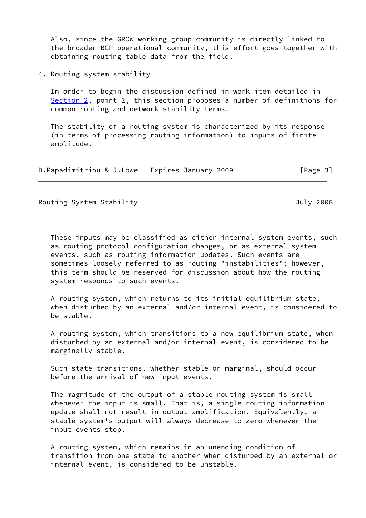Also, since the GROW working group community is directly linked to the broader BGP operational community, this effort goes together with obtaining routing table data from the field.

<span id="page-3-0"></span>[4](#page-3-0). Routing system stability

 In order to begin the discussion defined in work item detailed in [Section 2](#page-2-0), point 2, this section proposes a number of definitions for common routing and network stability terms.

 The stability of a routing system is characterized by its response (in terms of processing routing information) to inputs of finite amplitude.

D.Papadimitriou & J.Lowe - Expires January 2009 [Page 3]

Routing System Stability **Superintensis and Stability** July 2008

 These inputs may be classified as either internal system events, such as routing protocol configuration changes, or as external system events, such as routing information updates. Such events are sometimes loosely referred to as routing "instabilities"; however, this term should be reserved for discussion about how the routing system responds to such events.

 A routing system, which returns to its initial equilibrium state, when disturbed by an external and/or internal event, is considered to be stable.

 A routing system, which transitions to a new equilibrium state, when disturbed by an external and/or internal event, is considered to be marginally stable.

 Such state transitions, whether stable or marginal, should occur before the arrival of new input events.

 The magnitude of the output of a stable routing system is small whenever the input is small. That is, a single routing information update shall not result in output amplification. Equivalently, a stable system's output will always decrease to zero whenever the input events stop.

 A routing system, which remains in an unending condition of transition from one state to another when disturbed by an external or internal event, is considered to be unstable.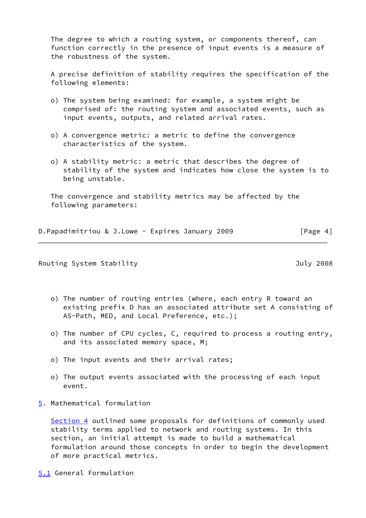The degree to which a routing system, or components thereof, can function correctly in the presence of input events is a measure of the robustness of the system.

 A precise definition of stability requires the specification of the following elements:

- o) The system being examined: for example, a system might be comprised of: the routing system and associated events, such as input events, outputs, and related arrival rates.
- o) A convergence metric: a metric to define the convergence characteristics of the system.
- o) A stability metric: a metric that describes the degree of stability of the system and indicates how close the system is to being unstable.

 The convergence and stability metrics may be affected by the following parameters:

| D.Papadimitriou & J.Lowe - Expires January 2009 |  | [Page 4] |
|-------------------------------------------------|--|----------|
|                                                 |  |          |

Routing System Stability **Stability** And the System Stability and the System of the System of the System of the S

- o) The number of routing entries (where, each entry R toward an existing prefix D has an associated attribute set A consisting of AS-Path, MED, and Local Preference, etc.);
- o) The number of CPU cycles, C, required to process a routing entry, and its associated memory space, M;
- o) The input events and their arrival rates;
- o) The output events associated with the processing of each input event.
- <span id="page-4-0"></span>[5](#page-4-0). Mathematical formulation

 [Section 4](#page-3-0) outlined some proposals for definitions of commonly used stability terms applied to network and routing systems. In this section, an initial attempt is made to build a mathematical formulation around those concepts in order to begin the development of more practical metrics.

<span id="page-4-1"></span>[5.1](#page-4-1) General Formulation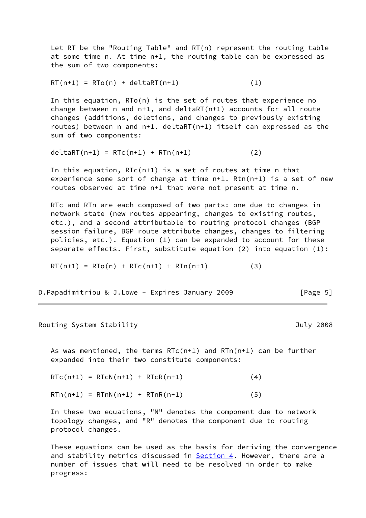Let RT be the "Routing Table" and RT(n) represent the routing table at some time n. At time n+1, the routing table can be expressed as the sum of two components:

$$
RT(n+1) = RTo(n) + deltART(n+1)
$$
 (1)

 In this equation, RTo(n) is the set of routes that experience no change between n and n+1, and deltaRT(n+1) accounts for all route changes (additions, deletions, and changes to previously existing routes) between n and n+1. deltaRT(n+1) itself can expressed as the sum of two components:

deltaRT( $n+1$ ) = RTc( $n+1$ ) + RTn( $n+1$ ) (2)

In this equation,  $RTc(n+1)$  is a set of routes at time n that experience some sort of change at time n+1. Rtn(n+1) is a set of new routes observed at time n+1 that were not present at time n.

 RTc and RTn are each composed of two parts: one due to changes in network state (new routes appearing, changes to existing routes, etc.), and a second attributable to routing protocol changes (BGP session failure, BGP route attribute changes, changes to filtering policies, etc.). Equation (1) can be expanded to account for these separate effects. First, substitute equation (2) into equation (1):

 $RT(n+1) = RTo(n) + RTc(n+1) + RTn(n+1)$  (3)

D.Papadimitriou & J.Lowe - Expires January 2009 [Page 5]

Routing System Stability **Superintensis and Stability** July 2008

As was mentioned, the terms  $RTC(n+1)$  and  $RTn(n+1)$  can be further expanded into their two constitute components:

 $RTC(n+1) = RTCN(n+1) + RTCR(n+1)$  (4)

 $RTn(n+1) = RTnN(n+1) + RTnR(n+1)$  (5)

 In these two equations, "N" denotes the component due to network topology changes, and "R" denotes the component due to routing protocol changes.

 These equations can be used as the basis for deriving the convergence and stability metrics discussed in **[Section 4.](#page-3-0)** However, there are a number of issues that will need to be resolved in order to make progress: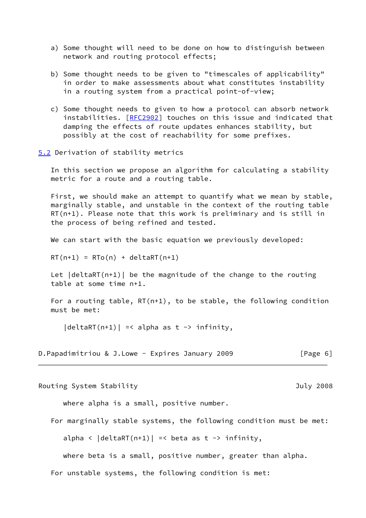- a) Some thought will need to be done on how to distinguish between network and routing protocol effects;
- b) Some thought needs to be given to "timescales of applicability" in order to make assessments about what constitutes instability in a routing system from a practical point-of-view;
- c) Some thought needs to given to how a protocol can absorb network instabilities. [[RFC2902](https://datatracker.ietf.org/doc/pdf/rfc2902)] touches on this issue and indicated that damping the effects of route updates enhances stability, but possibly at the cost of reachability for some prefixes.

<span id="page-6-0"></span>[5.2](#page-6-0) Derivation of stability metrics

 In this section we propose an algorithm for calculating a stability metric for a route and a routing table.

 First, we should make an attempt to quantify what we mean by stable, marginally stable, and unstable in the context of the routing table RT(n+1). Please note that this work is preliminary and is still in the process of being refined and tested.

We can start with the basic equation we previously developed:

 $RT(n+1) = RTo(n) + deltART(n+1)$ 

 Let |deltaRT(n+1)| be the magnitude of the change to the routing table at some time n+1.

 For a routing table, RT(n+1), to be stable, the following condition must be met:

 $|deltaRT(n+1)|$  =< alpha as t -> infinity,

D.Papadimitriou & J.Lowe - Expires January 2009 [Page 6]

Routing System Stability **Superintensis and Stability** July 2008

where alpha is a small, positive number.

 For marginally stable systems, the following condition must be met: alpha <  $|delta(Tn+1)|$  =< beta as t -> infinity,

where beta is a small, positive number, greater than alpha.

For unstable systems, the following condition is met: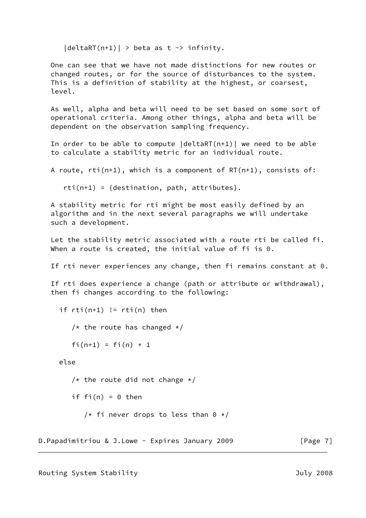$|deltaRT(n+1)| > beta$  as t -> infinity.

 One can see that we have not made distinctions for new routes or changed routes, or for the source of disturbances to the system. This is a definition of stability at the highest, or coarsest, level.

 As well, alpha and beta will need to be set based on some sort of operational criteria. Among other things, alpha and beta will be dependent on the observation sampling frequency.

In order to be able to compute  $|delta(R+1)|$  we need to be able to calculate a stability metric for an individual route.

```
 A route, rti(n+1), which is a component of RT(n+1), consists of:
```
 $rti(n+1) = \{destination, path, attributes\}.$ 

 A stability metric for rti might be most easily defined by an algorithm and in the next several paragraphs we will undertake such a development.

 Let the stability metric associated with a route rti be called fi. When a route is created, the initial value of fi is 0.

If rti never experiences any change, then fi remains constant at 0.

 If rti does experience a change (path or attribute or withdrawal), then fi changes according to the following:

```
if rti(n+1) != rti(n) then
```
/\* the route has changed  $*/$ 

 $fi(n+1) = fi(n) + 1$ 

else

/\* the route did not change  $*/$ 

if  $fi(n) = 0$  then

/\* fi never drops to less than  $0 * /$ 

D.Papadimitriou & J.Lowe - Expires January 2009 [Page 7]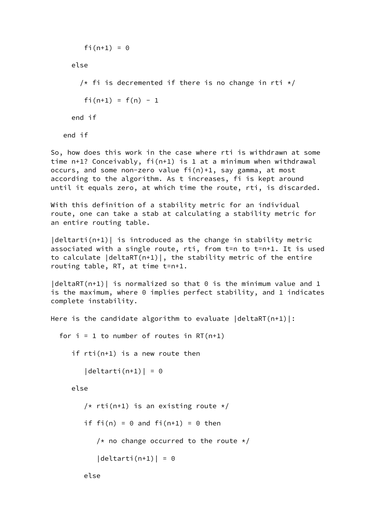```
f_1(n+1) = 0 else
    /* fi is decremented if there is no change in rti */fi(n+1) = f(n) - 1 end if
 end if
```
 So, how does this work in the case where rti is withdrawn at some time n+1? Conceivably, fi(n+1) is 1 at a minimum when withdrawal occurs, and some non-zero value fi(n)+1, say gamma, at most according to the algorithm. As t increases, fi is kept around until it equals zero, at which time the route, rti, is discarded.

 With this definition of a stability metric for an individual route, one can take a stab at calculating a stability metric for an entire routing table.

 $|delta(n+1)|$  is introduced as the change in stability metric associated with a single route, rti, from t=n to t=n+1. It is used to calculate  $|delta(T+1)|$ , the stability metric of the entire routing table, RT, at time t=n+1.

 $|deltaRT(n+1)|$  is normalized so that  $\theta$  is the minimum value and 1 is the maximum, where 0 implies perfect stability, and 1 indicates complete instability.

```
Here is the candidate algorithm to evaluate |delta(R+1)|:
  for i = 1 to number of routes in RT(n+1)
      if rti(n+1) is a new route then
        |delta(tarti(n+1)| = 0 else
        /* rti(n+1) is an existing route */if fi(n) = 0 and fi(n+1) = 0 then
```

```
/* no change occurred to the route */
```

```
|delta(tarti(n+1)| = 0
```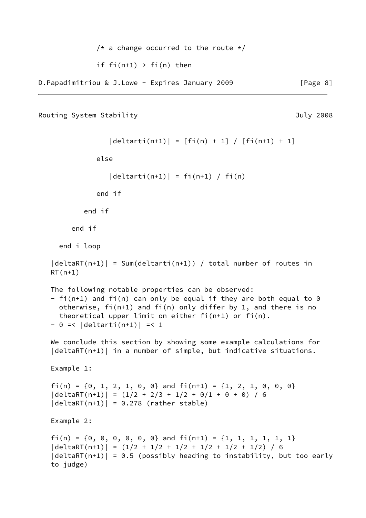```
/* a change occurred to the route */if fi(n+1) > fi(n) then
D.Papadimitriou & J.Lowe - Expires January 2009 [Page 8]
```
Routing System Stability **Superintensis and Stability** July 2008

```
|delta( n+1) | = [fi(n) + 1] / [fi(n+1) + 1]
```
else

```
|delta( n+1) | = fi(n+1) / fi(n)
```
end if

end if

end if

end i loop

```
|delta(T(n+1))| = Sum(deltarti(n+1)) / total number of routes in
RT(n+1)
```
The following notable properties can be observed:

- fi(n+1) and fi(n) can only be equal if they are both equal to  $0$  otherwise, fi(n+1) and fi(n) only differ by 1, and there is no theoretical upper limit on either fi(n+1) or fi(n).  $- 0 = 1$  |deltarti(n+1)| =< 1

 We conclude this section by showing some example calculations for  $|delta(T(n+1))|$  in a number of simple, but indicative situations.

```
 Example 1:
```

```
fi(n) = \{0, 1, 2, 1, 0, 0\} and fi(n+1) = \{1, 2, 1, 0, 0, 0\}|deltaRT(n+1)| = (1/2 + 2/3 + 1/2 + 0/1 + 0 + 0) / 6|deltaRT(n+1)| = 0.278 (rather stable)
```
Example 2:

```
fi(n) = \{0, 0, 0, 0, 0, 0\} and fi(n+1) = \{1, 1, 1, 1, 1, 1\}|deltaRT(n+1)| = (1/2 + 1/2 + 1/2 + 1/2 + 1/2 + 1/2) / 6|delta(T(n+1))| = 0.5 (possibly heading to instability, but too early
 to judge)
```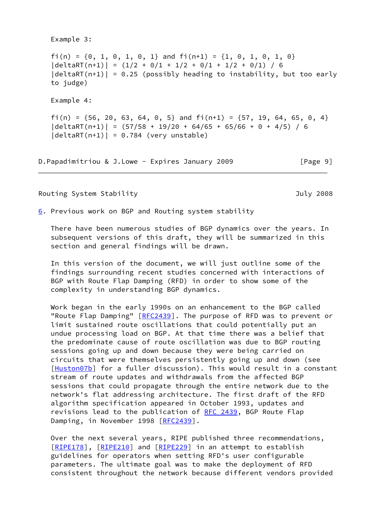```
 Example 3:
   fi(n) = \{0, 1, 0, 1, 0, 1\} and fi(n+1) = \{1, 0, 1, 0, 1, 0\}|deltaRT(n+1)| = (1/2 + 0/1 + 1/2 + 0/1 + 1/2 + 0/1) / 6|deltaRT(n+1)| = 0.25 (possibly heading to instability, but too early
    to judge)
   Example 4:
   fi(n) = {56, 20, 63, 64, 0, 5} and fi(n+1) = {57, 19, 64, 65, 0, 4}|deltaRT(n+1)| = (57/58 + 19/20 + 64/65 + 65/66 + 0 + 4/5) / 6|deltaRT(n+1)| = 0.784 (very unstable)
D.Papadimitriou & J.Lowe - Expires January 2009 [Page 9]
```
Routing System Stability **Superint Contract Contract Contract Contract Contract Contract Contract Contract Contr** 

<span id="page-10-0"></span>[6](#page-10-0). Previous work on BGP and Routing system stability

 There have been numerous studies of BGP dynamics over the years. In subsequent versions of this draft, they will be summarized in this section and general findings will be drawn.

 In this version of the document, we will just outline some of the findings surrounding recent studies concerned with interactions of BGP with Route Flap Damping (RFD) in order to show some of the complexity in understanding BGP dynamics.

 Work began in the early 1990s on an enhancement to the BGP called "Route Flap Damping" [\[RFC2439](https://datatracker.ietf.org/doc/pdf/rfc2439)]. The purpose of RFD was to prevent or limit sustained route oscillations that could potentially put an undue processing load on BGP. At that time there was a belief that the predominate cause of route oscillation was due to BGP routing sessions going up and down because they were being carried on circuits that were themselves persistently going up and down (see [\[Huston07b](#page-12-1)] for a fuller discussion). This would result in a constant stream of route updates and withdrawals from the affected BGP sessions that could propagate through the entire network due to the network's flat addressing architecture. The first draft of the RFD algorithm specification appeared in October 1993, updates and revisions lead to the publication of [RFC 2439](https://datatracker.ietf.org/doc/pdf/rfc2439), BGP Route Flap Damping, in November 1998 [[RFC2439](https://datatracker.ietf.org/doc/pdf/rfc2439)].

 Over the next several years, RIPE published three recommendations, [\[RIPE178](#page-13-0)], [[RIPE210\]](#page-13-1) and [\[RIPE229](#page-13-2)] in an attempt to establish guidelines for operators when setting RFD's user configurable parameters. The ultimate goal was to make the deployment of RFD consistent throughout the network because different vendors provided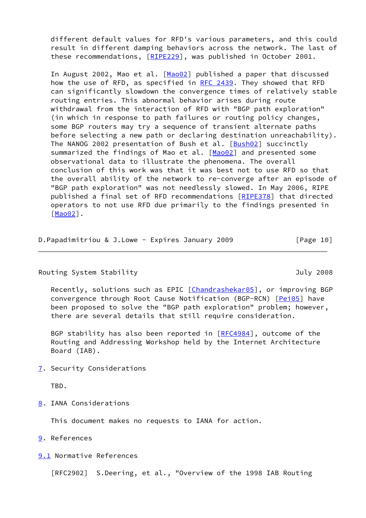different default values for RFD's various parameters, and this could result in different damping behaviors across the network. The last of these recommendations, [\[RIPE229](#page-13-2)], was published in October 2001.

In August 2002, Mao et al. [[Mao02\]](#page-12-2) published a paper that discussed how the use of RFD, as specified in [RFC 2439.](https://datatracker.ietf.org/doc/pdf/rfc2439) They showed that RFD can significantly slowdown the convergence times of relatively stable routing entries. This abnormal behavior arises during route withdrawal from the interaction of RFD with "BGP path exploration" (in which in response to path failures or routing policy changes, some BGP routers may try a sequence of transient alternate paths before selecting a new path or declaring destination unreachability). The NANOG 2002 presentation of Bush et al. [[Bush02](#page-12-3)] succinctly summarized the findings of Mao et al. [[Mao02\]](#page-12-2) and presented some observational data to illustrate the phenomena. The overall conclusion of this work was that it was best not to use RFD so that the overall ability of the network to re-converge after an episode of "BGP path exploration" was not needlessly slowed. In May 2006, RIPE published a final set of RFD recommendations [\[RIPE378](#page-13-3)] that directed operators to not use RFD due primarily to the findings presented in [\[Mao02](#page-12-2)].

D.Papadimitriou & J.Lowe - Expires January 2009 [Page 10]

Routing System Stability **Stability** And the System Stability And the System of the System of the System of the S

Recently, solutions such as EPIC [\[Chandrashekar05](#page-12-4)], or improving BGP convergence through Root Cause Notification (BGP-RCN) [[Pei05\]](#page-12-5) have been proposed to solve the "BGP path exploration" problem; however, there are several details that still require consideration.

BGP stability has also been reported in  $[REC4984]$ , outcome of the Routing and Addressing Workshop held by the Internet Architecture Board (IAB).

<span id="page-11-0"></span>[7](#page-11-0). Security Considerations

TBD.

<span id="page-11-1"></span>[8](#page-11-1). IANA Considerations

This document makes no requests to IANA for action.

- <span id="page-11-2"></span>[9](#page-11-2). References
- <span id="page-11-3"></span>[9.1](#page-11-3) Normative References

[RFC2902] S.Deering, et al., "Overview of the 1998 IAB Routing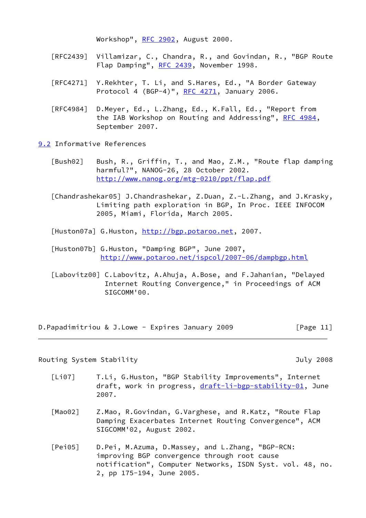Workshop", [RFC 2902](https://datatracker.ietf.org/doc/pdf/rfc2902), August 2000.

- [RFC2439] Villamizar, C., Chandra, R., and Govindan, R., "BGP Route Flap Damping", [RFC 2439](https://datatracker.ietf.org/doc/pdf/rfc2439), November 1998.
- [RFC4271] Y.Rekhter, T. Li, and S.Hares, Ed., "A Border Gateway Protocol 4 (BGP-4)", [RFC 4271](https://datatracker.ietf.org/doc/pdf/rfc4271), January 2006.
- [RFC4984] D.Meyer, Ed., L.Zhang, Ed., K.Fall, Ed., "Report from the IAB Workshop on Routing and Addressing", [RFC 4984](https://datatracker.ietf.org/doc/pdf/rfc4984), September 2007.

<span id="page-12-6"></span>[9.2](#page-12-6) Informative References

- <span id="page-12-3"></span> [Bush02] Bush, R., Griffin, T., and Mao, Z.M., "Route flap damping harmful?", NANOG-26, 28 October 2002. <http://www.nanog.org/mtg-0210/ppt/flap.pdf>
- <span id="page-12-4"></span>[Chandrashekar05] J.Chandrashekar, Z.Duan, Z.-L.Zhang, and J.Krasky, Limiting path exploration in BGP, In Proc. IEEE INFOCOM 2005, Miami, Florida, March 2005.

<span id="page-12-0"></span>[Huston07a] G.Huston,<http://bgp.potaroo.net>, 2007.

- <span id="page-12-1"></span> [Huston07b] G.Huston, "Damping BGP", June 2007, <http://www.potaroo.net/ispcol/2007-06/dampbgp.html>
- [Labovitz00] C.Labovitz, A.Ahuja, A.Bose, and F.Jahanian, "Delayed Internet Routing Convergence," in Proceedings of ACM SIGCOMM'00.

D.Papadimitriou & J.Lowe - Expires January 2009 [Page 11]

Routing System Stability **Stability** And the System Stability and the System of the System of the System of the S

- [Li07] T.Li, G.Huston, "BGP Stability Improvements", Internet draft, work in progress, [draft-li-bgp-stability-01,](https://datatracker.ietf.org/doc/pdf/draft-li-bgp-stability-01) June 2007.
- <span id="page-12-2"></span> [Mao02] Z.Mao, R.Govindan, G.Varghese, and R.Katz, "Route Flap Damping Exacerbates Internet Routing Convergence", ACM SIGCOMM'02, August 2002.
- <span id="page-12-5"></span> [Pei05] D.Pei, M.Azuma, D.Massey, and L.Zhang, "BGP-RCN: improving BGP convergence through root cause notification", Computer Networks, ISDN Syst. vol. 48, no. 2, pp 175-194, June 2005.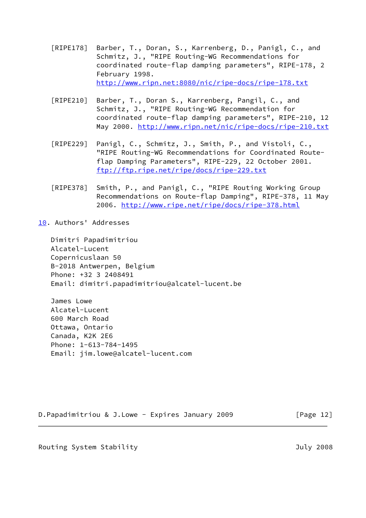- <span id="page-13-0"></span> [RIPE178] Barber, T., Doran, S., Karrenberg, D., Panigl, C., and Schmitz, J., "RIPE Routing-WG Recommendations for coordinated route-flap damping parameters", RIPE-178, 2 February 1998. <http://www.ripn.net:8080/nic/ripe-docs/ripe-178.txt>
- <span id="page-13-1"></span> [RIPE210] Barber, T., Doran S., Karrenberg, Pangil, C., and Schmitz, J., "RIPE Routing-WG Recommendation for coordinated route-flap damping parameters", RIPE-210, 12 May 2000.<http://www.ripn.net/nic/ripe-docs/ripe-210.txt>
- <span id="page-13-2"></span> [RIPE229] Panigl, C., Schmitz, J., Smith, P., and Vistoli, C., "RIPE Routing-WG Recommendations for Coordinated Route flap Damping Parameters", RIPE-229, 22 October 2001. <ftp://ftp.ripe.net/ripe/docs/ripe-229.txt>
- <span id="page-13-3"></span> [RIPE378] Smith, P., and Panigl, C., "RIPE Routing Working Group Recommendations on Route-flap Damping", RIPE-378, 11 May 2006.<http://www.ripe.net/ripe/docs/ripe-378.html>

<span id="page-13-4"></span>[10.](#page-13-4) Authors' Addresses

 Dimitri Papadimitriou Alcatel-Lucent Copernicuslaan 50 B-2018 Antwerpen, Belgium Phone: +32 3 2408491 Email: dimitri.papadimitriou@alcatel-lucent.be

 James Lowe Alcatel-Lucent 600 March Road Ottawa, Ontario Canada, K2K 2E6 Phone: 1-613-784-1495 Email: jim.lowe@alcatel-lucent.com

D.Papadimitriou & J.Lowe - Expires January 2009 [Page 12]

Routing System Stability July 2008